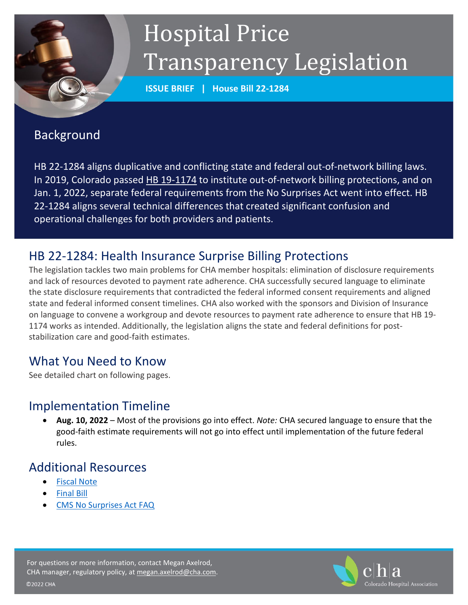

# Hospital Price Transparency Legislation

**ISSUE BRIEF | House Bill 22-1284**

#### Background

HB 22-1284 aligns duplicative and conflicting state and federal out-of-network billing laws. In 2019, Colorado passed [HB 19-1174](http://leg.colorado.gov/bills/hb19-1174) to institute out-of-network billing protections, and on Jan. 1, 2022, separate federal requirements from the No Surprises Act went into effect. HB 22-1284 aligns several technical differences that created significant confusion and operational challenges for both providers and patients.

## HB 22-1284: Health Insurance Surprise Billing Protections

The legislation tackles two main problems for CHA member hospitals: elimination of disclosure requirements and lack of resources devoted to payment rate adherence. CHA successfully secured language to eliminate the state disclosure requirements that contradicted the federal informed consent requirements and aligned state and federal informed consent timelines. CHA also worked with the sponsors and Division of Insurance on language to convene a workgroup and devote resources to payment rate adherence to ensure that HB 19- 1174 works as intended. Additionally, the legislation aligns the state and federal definitions for poststabilization care and good-faith estimates.

# What You Need to Know

See detailed chart on following pages.

#### Implementation Timeline

• **Aug. 10, 2022** – Most of the provisions go into effect. *Note:* CHA secured language to ensure that the good-faith estimate requirements will not go into effect until implementation of the future federal rules.

# Additional Resources

- [Fiscal Note](https://leg.colorado.gov/sites/default/files/documents/2022A/bills/fn/2022a_hb1284_r1.pdf)
- [Final Bill](https://leg.colorado.gov/sites/default/files/documents/2022A/bills/2022a_1284_rer.pdf)
- [CMS No Surprises Act FAQ](https://www.cms.gov/files/document/faq-providers-no-surprises-rules-april-2022.pdf)



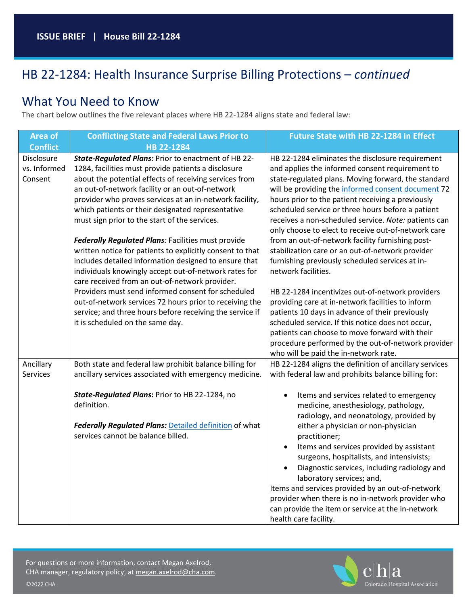# HB 22-1284: Health Insurance Surprise Billing Protections – *continued*

#### What You Need to Know

The chart below outlines the five relevant places where HB 22-1284 aligns state and federal law:

| <b>Area of</b>  | <b>Conflicting State and Federal Laws Prior to</b>        | Future State with HB 22-1284 in Effect                                                 |
|-----------------|-----------------------------------------------------------|----------------------------------------------------------------------------------------|
| <b>Conflict</b> | HB 22-1284                                                |                                                                                        |
| Disclosure      | State-Regulated Plans: Prior to enactment of HB 22-       | HB 22-1284 eliminates the disclosure requirement                                       |
| vs. Informed    | 1284, facilities must provide patients a disclosure       | and applies the informed consent requirement to                                        |
| Consent         | about the potential effects of receiving services from    | state-regulated plans. Moving forward, the standard                                    |
|                 | an out-of-network facility or an out-of-network           | will be providing the informed consent document 72                                     |
|                 | provider who proves services at an in-network facility,   | hours prior to the patient receiving a previously                                      |
|                 | which patients or their designated representative         | scheduled service or three hours before a patient                                      |
|                 | must sign prior to the start of the services.             | receives a non-scheduled service. Note: patients can                                   |
|                 |                                                           | only choose to elect to receive out-of-network care                                    |
|                 | Federally Regulated Plans: Facilities must provide        | from an out-of-network facility furnishing post-                                       |
|                 | written notice for patients to explicitly consent to that | stabilization care or an out-of-network provider                                       |
|                 | includes detailed information designed to ensure that     | furnishing previously scheduled services at in-                                        |
|                 | individuals knowingly accept out-of-network rates for     | network facilities.                                                                    |
|                 | care received from an out-of-network provider.            |                                                                                        |
|                 | Providers must send informed consent for scheduled        | HB 22-1284 incentivizes out-of-network providers                                       |
|                 | out-of-network services 72 hours prior to receiving the   | providing care at in-network facilities to inform                                      |
|                 | service; and three hours before receiving the service if  | patients 10 days in advance of their previously                                        |
|                 | it is scheduled on the same day.                          | scheduled service. If this notice does not occur,                                      |
|                 |                                                           | patients can choose to move forward with their                                         |
|                 |                                                           | procedure performed by the out-of-network provider                                     |
|                 |                                                           | who will be paid the in-network rate.                                                  |
| Ancillary       | Both state and federal law prohibit balance billing for   | HB 22-1284 aligns the definition of ancillary services                                 |
| Services        | ancillary services associated with emergency medicine.    | with federal law and prohibits balance billing for:                                    |
|                 |                                                           |                                                                                        |
|                 | State-Regulated Plans: Prior to HB 22-1284, no            | Items and services related to emergency<br>$\bullet$                                   |
|                 | definition.                                               | medicine, anesthesiology, pathology,                                                   |
|                 |                                                           | radiology, and neonatology, provided by                                                |
|                 | Federally Regulated Plans: Detailed definition of what    | either a physician or non-physician                                                    |
|                 | services cannot be balance billed.                        | practitioner;                                                                          |
|                 |                                                           | Items and services provided by assistant<br>$\bullet$                                  |
|                 |                                                           | surgeons, hospitalists, and intensivists;                                              |
|                 |                                                           | Diagnostic services, including radiology and<br>$\bullet$<br>laboratory services; and, |
|                 |                                                           | Items and services provided by an out-of-network                                       |
|                 |                                                           | provider when there is no in-network provider who                                      |
|                 |                                                           | can provide the item or service at the in-network                                      |
|                 |                                                           | health care facility.                                                                  |

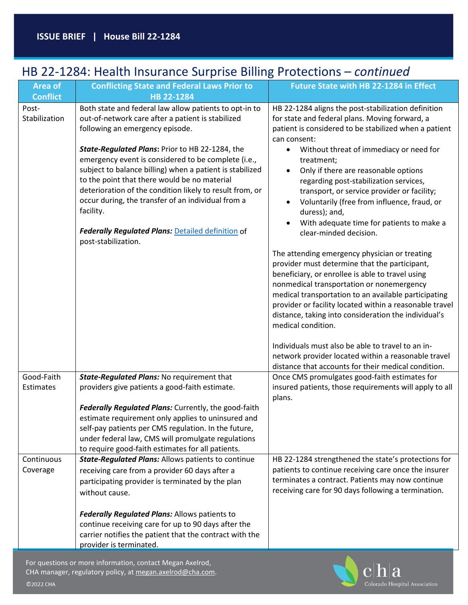# HB 22-1284: Health Insurance Surprise Billing Protections – *continued*

| <b>Area of</b><br><b>Conflict</b>                 | <b>Conflicting State and Federal Laws Prior to</b><br>HB 22-1284                                                                                                                                                                                                                                                                                                                                                                                                                                                                                                                       | Future State with HB 22-1284 in Effect                                                                                                                                                                                                                                                                                                                                                                                                                                                                                                                                                                                                                                                                                                                                                                                                                                                                                                                                                                                                                                                              |
|---------------------------------------------------|----------------------------------------------------------------------------------------------------------------------------------------------------------------------------------------------------------------------------------------------------------------------------------------------------------------------------------------------------------------------------------------------------------------------------------------------------------------------------------------------------------------------------------------------------------------------------------------|-----------------------------------------------------------------------------------------------------------------------------------------------------------------------------------------------------------------------------------------------------------------------------------------------------------------------------------------------------------------------------------------------------------------------------------------------------------------------------------------------------------------------------------------------------------------------------------------------------------------------------------------------------------------------------------------------------------------------------------------------------------------------------------------------------------------------------------------------------------------------------------------------------------------------------------------------------------------------------------------------------------------------------------------------------------------------------------------------------|
| Post-<br>Stabilization                            | Both state and federal law allow patients to opt-in to<br>out-of-network care after a patient is stabilized<br>following an emergency episode.<br>State-Regulated Plans: Prior to HB 22-1284, the<br>emergency event is considered to be complete (i.e.,<br>subject to balance billing) when a patient is stabilized<br>to the point that there would be no material<br>deterioration of the condition likely to result from, or<br>occur during, the transfer of an individual from a<br>facility.<br><b>Federally Regulated Plans: Detailed definition of</b><br>post-stabilization. | HB 22-1284 aligns the post-stabilization definition<br>for state and federal plans. Moving forward, a<br>patient is considered to be stabilized when a patient<br>can consent:<br>Without threat of immediacy or need for<br>$\bullet$<br>treatment;<br>Only if there are reasonable options<br>regarding post-stabilization services,<br>transport, or service provider or facility;<br>Voluntarily (free from influence, fraud, or<br>duress); and,<br>With adequate time for patients to make a<br>clear-minded decision.<br>The attending emergency physician or treating<br>provider must determine that the participant,<br>beneficiary, or enrollee is able to travel using<br>nonmedical transportation or nonemergency<br>medical transportation to an available participating<br>provider or facility located within a reasonable travel<br>distance, taking into consideration the individual's<br>medical condition.<br>Individuals must also be able to travel to an in-<br>network provider located within a reasonable travel<br>distance that accounts for their medical condition. |
| Good-Faith<br>Estimates<br>Continuous<br>Coverage | State-Regulated Plans: No requirement that<br>providers give patients a good-faith estimate.<br>Federally Regulated Plans: Currently, the good-faith<br>estimate requirement only applies to uninsured and<br>self-pay patients per CMS regulation. In the future,<br>under federal law, CMS will promulgate regulations<br>to require good-faith estimates for all patients.<br><b>State-Regulated Plans: Allows patients to continue</b><br>receiving care from a provider 60 days after a<br>participating provider is terminated by the plan                                       | Once CMS promulgates good-faith estimates for<br>insured patients, those requirements will apply to all<br>plans.<br>HB 22-1284 strengthened the state's protections for<br>patients to continue receiving care once the insurer<br>terminates a contract. Patients may now continue                                                                                                                                                                                                                                                                                                                                                                                                                                                                                                                                                                                                                                                                                                                                                                                                                |
|                                                   | without cause.<br>Federally Regulated Plans: Allows patients to<br>continue receiving care for up to 90 days after the<br>carrier notifies the patient that the contract with the<br>provider is terminated.<br>For questions or more information, contact Megan Axelrod,<br>CHA manager, regulatory policy, at megan.axelrod@cha.com.                                                                                                                                                                                                                                                 | receiving care for 90 days following a termination.                                                                                                                                                                                                                                                                                                                                                                                                                                                                                                                                                                                                                                                                                                                                                                                                                                                                                                                                                                                                                                                 |

Colorado Hospital Association

©2022 CHA